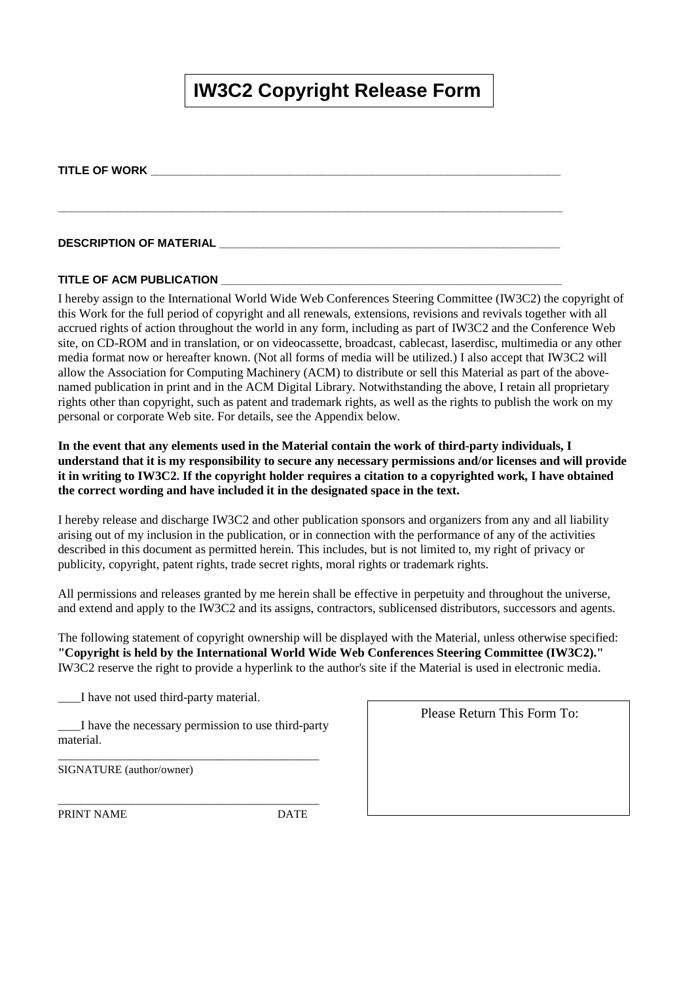# **IW3C2 Copyright Release Form**

**\_\_\_\_\_\_\_\_\_\_\_\_\_\_\_\_\_\_\_\_\_\_\_\_\_\_\_\_\_\_\_\_\_\_\_\_\_\_\_\_\_\_\_\_\_\_\_\_\_\_\_\_\_\_\_\_\_\_\_\_\_\_\_\_\_\_\_\_\_\_\_\_\_\_\_\_\_\_\_\_** 

#### **TITLE OF WORK \_\_\_\_\_\_\_\_\_\_\_\_\_\_\_\_\_\_\_\_\_\_\_\_\_\_\_\_\_\_\_\_\_\_\_\_\_\_\_\_\_\_\_\_\_\_\_\_\_\_\_\_\_\_\_\_\_\_\_\_\_\_\_\_\_**

#### **DESCRIPTION OF MATERIAL \_\_\_\_\_\_\_\_\_\_\_\_\_\_\_\_\_\_\_\_\_\_\_\_\_\_\_\_\_\_\_\_\_\_\_\_\_\_\_\_\_\_\_\_\_\_\_\_\_\_\_\_\_\_**

#### **TITLE OF ACM PUBLICATION**

I hereby assign to the International World Wide Web Conferences Steering Committee (IW3C2) the copyright of this Work for the full period of copyright and all renewals, extensions, revisions and revivals together with all accrued rights of action throughout the world in any form, including as part of IW3C2 and the Conference Web site, on CD-ROM and in translation, or on videocassette, broadcast, cablecast, laserdisc, multimedia or any other media format now or hereafter known. (Not all forms of media will be utilized.) I also accept that IW3C2 will allow the Association for Computing Machinery (ACM) to distribute or sell this Material as part of the abovenamed publication in print and in the ACM Digital Library. Notwithstanding the above, I retain all proprietary rights other than copyright, such as patent and trademark rights, as well as the rights to publish the work on my personal or corporate Web site. For details, see the Appendix below.

**In the event that any elements used in the Material contain the work of third-party individuals, I understand that it is my responsibility to secure any necessary permissions and/or licenses and will provide it in writing to IW3C2. If the copyright holder requires a citation to a copyrighted work, I have obtained the correct wording and have included it in the designated space in the text.**

I hereby release and discharge IW3C2 and other publication sponsors and organizers from any and all liability arising out of my inclusion in the publication, or in connection with the performance of any of the activities described in this document as permitted herein. This includes, but is not limited to, my right of privacy or publicity, copyright, patent rights, trade secret rights, moral rights or trademark rights.

All permissions and releases granted by me herein shall be effective in perpetuity and throughout the universe, and extend and apply to the IW3C2 and its assigns, contractors, sublicensed distributors, successors and agents.

The following statement of copyright ownership will be displayed with the Material, unless otherwise specified: **"Copyright is held by the International World Wide Web Conferences Steering Committee (IW3C2)."** IW3C2 reserve the right to provide a hyperlink to the author's site if the Material is used in electronic media.

\_\_\_\_I have not used third-party material.

\_\_\_\_I have the necessary permission to use third-party material.

\_\_\_\_\_\_\_\_\_\_\_\_\_\_\_\_\_\_\_\_\_\_\_\_\_\_\_\_\_\_\_\_\_\_\_\_\_\_\_\_\_\_\_\_\_\_

\_\_\_\_\_\_\_\_\_\_\_\_\_\_\_\_\_\_\_\_\_\_\_\_\_\_\_\_\_\_\_\_\_\_\_\_\_\_\_\_\_\_\_\_\_\_

SIGNATURE (author/owner)

PRINT NAME DATE

Please Return This Form To: